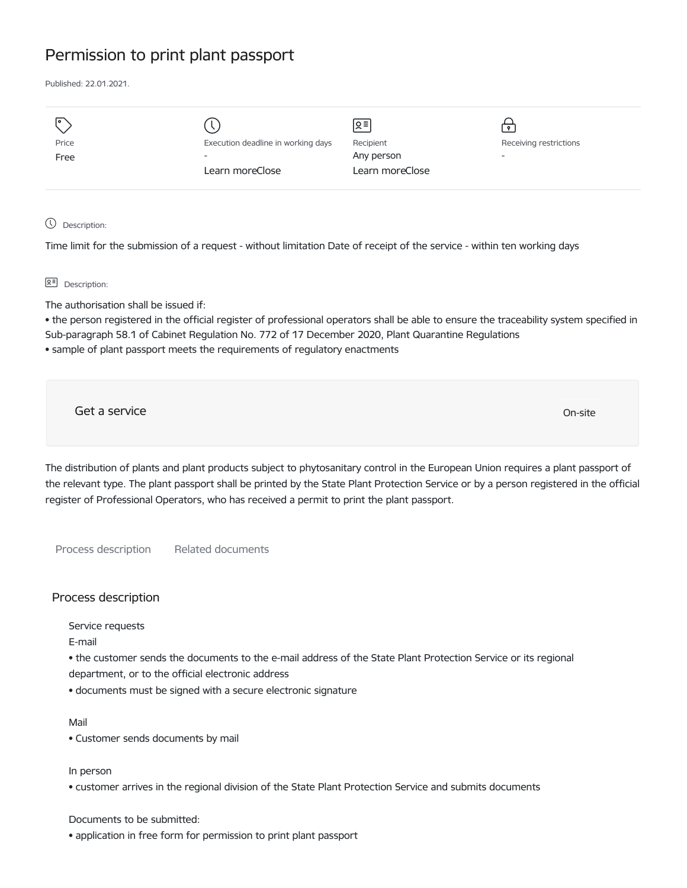## Permission to print plant passport

Published: 22.01.2021.

|       |                                    | Զ≡              |                          |
|-------|------------------------------------|-----------------|--------------------------|
| Price | Execution deadline in working days | Recipient       | Receiving restrictions   |
| Free  | $\overline{\phantom{a}}$           | Any person      | $\overline{\phantom{a}}$ |
|       | Learn moreClose                    | Learn moreClose |                          |
|       |                                    |                 |                          |

Description:

Time limit for the submission of a request - without limitation Date of receipt of the service - within ten working days

요<sup>리</sup> Description:

The authorisation shall be issued if:

• the person registered in the official register of professional operators shall be able to ensure the traceability system specified in Sub-paragraph 58.1 of Cabinet Regulation No. 772 of 17 December 2020, Plant Quarantine Regulations

• sample of plant passport meets the requirements of regulatory enactments

Get a service on the contract of the contract of the contract of the contract of the contract of the contract of the contract of the contract of the contract of the contract of the contract of the contract of the contract

The distribution of plants and plant products subject to phytosanitary control in the European Union requires a plant passport of the relevant type. The plant passport shall be printed by the State Plant Protection Service or by a person registered in the official register of Professional Operators, who has received a permit to print the plant passport.

Process description Related documents

## Process description

Service requests

E-mail

• the customer sends the documents to the e-mail address of the State Plant Protection Service or its regional department, or to the official electronic address

• documents must be signed with a secure electronic signature

Mail

• Customer sends documents by mail

In person

• customer arrives in the regional division of the State Plant Protection Service and submits documents

Documents to be submitted:

• application in free form for permission to print plant passport